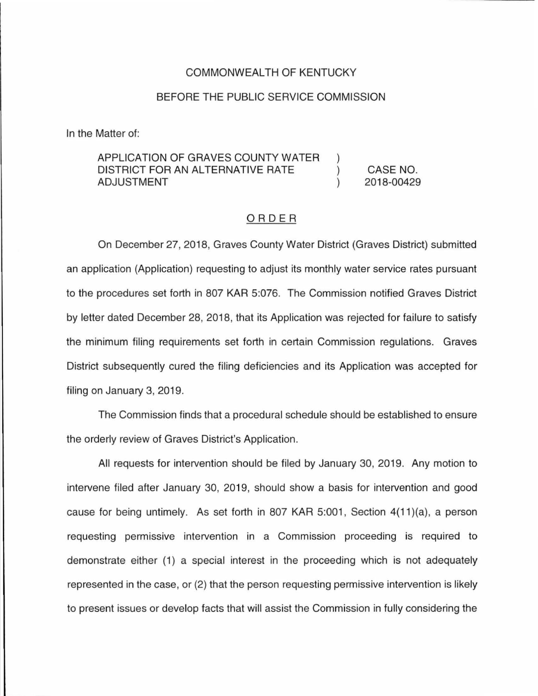## COMMONWEALTH OF KENTUCKY

# BEFORE THE PUBLIC SERVICE COMMISSION

In the Matter of:

#### APPLICATION OF GRAVES COUNTY WATER DISTRICT FOR AN ALTERNATIVE RATE  $\mathcal{C}$ ADJUSTMENT

CASE NO. 2018-00429

# ORDER

On December 27, 2018, Graves County Water District (Graves District) submitted an application (Application) requesting to adjust its monthly water service rates pursuant to the procedures set forth in 807 KAR 5:076. The Commission notified Graves District by letter dated December 28, 2018, that its Application was rejected for failure to satisfy the minimum filing requirements set forth in certain Commission regulations. Graves District subsequently cured the filing deficiencies and its Application was accepted for filing on January 3, 2019.

The Commission finds that a procedural schedule should be established to ensure the orderly review of Graves District's Application.

All requests for intervention should be filed by January 30, 2019. Any motion to intervene filed after January 30, 2019, should show a basis for intervention and good cause for being untimely. As set forth in 807 KAR 5:001, Section 4(11)(a), a person requesting permissive intervention in a Commission proceeding is required to demonstrate either (1) a special interest in the proceeding which is not adequately represented in the case, or (2) that the person requesting permissive intervention is likely to present issues or develop facts that will assist the Commission in fully considering the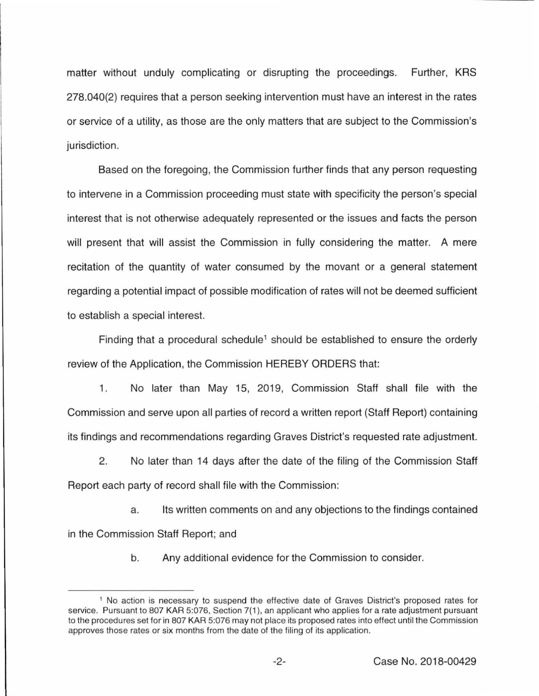matter without unduly complicating or disrupting the proceedings. Further, KRS 278.040(2) requires that a person seeking intervention must have an interest in the rates or service of a utility, as those are the only matters that are subject to the Commission's jurisdiction.

Based on the foregoing, the Commission further finds that any person requesting to intervene in a Commission proceeding must state with specificity the person's special interest that is not otherwise adequately represented or the issues and facts the person will present that will assist the Commission in fully considering the matter. A mere recitation of the quantity of water consumed by the movant or a general statement regarding a potential impact of possible modification of rates will not be deemed sufficient to establish a special interest.

Finding that a procedural schedule<sup>1</sup> should be established to ensure the orderly review of the Application, the Commission HEREBY ORDERS that:

1. No later than May 15, 2019, Commission Staff shall file with the Commission and serve upon all parties of record a written report (Staff Report) containing its findings and recommendations regarding Graves District's requested rate adjustment.

2. No later than 14 days after the date of the filing of the Commission Staff Report each party of record shall file with the Commission:

a. Its written comments on and any objections to the findings contained in the Commission Staff Report; and

b. Any additional evidence for the Commission to consider.

<sup>1</sup>No action is necessary to suspend the effective date of Graves District's proposed rates for service. Pursuant to 807 KAR 5:076, Section 7(1), an applicant who applies for a rate adjustment pursuant to the procedures set for in 807 KAR 5:076 may not place its proposed rates into effect until the Commission approves those rates or six months from the date of the filing of its application.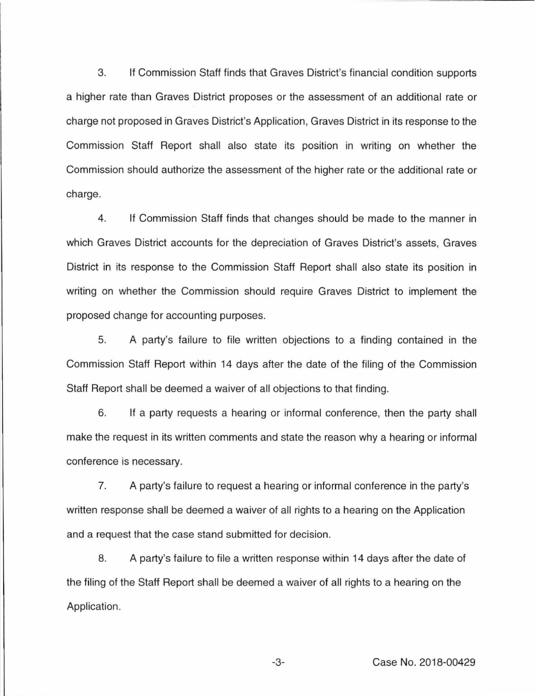3. If Commission Staff finds that Graves District's financial condition supports a higher rate than Graves District proposes or the assessment of an additional rate or charge not proposed in Graves District's Application, Graves District in its response to the Commission Staff Report shall also state its position in writing on whether the Commission should authorize the assessment of the higher rate or the additional rate or charge.

4. If Commission Staff finds that changes should be made to the manner in which Graves District accounts for the depreciation of Graves District's assets, Graves District in its response to the Commission Staff Report shall also state its position in writing on whether the Commission should require Graves District to implement the proposed change for accounting purposes.

5. A party's failure to file written objections to a finding contained in the Commission Staff Report within 14 days after the date of the filing of the Commission Staff Report shall be deemed a waiver of all objections to that finding.

6. If a party requests a hearing or informal conference, then the party shall make the request in its written comments and state the reason why a hearing or informal conference is necessary.

7. A party's failure to request a hearing or informal conference in the party's written response shall be deemed a waiver of all rights to a hearing on the Application and a request that the case stand submitted for decision.

8. A party's failure to file a written response within 14 days after the date of the filing of the Staff Report shall be deemed a waiver of all rights to a hearing on the Application.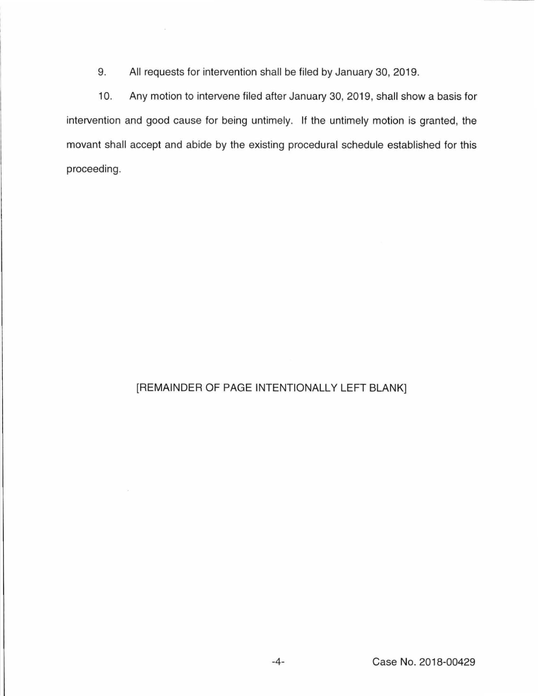9. All requests for intervention shall be filed by January 30, 2019.

10. Any motion to intervene filed after January 30, 2019, shall show a basis for intervention and good cause for being untimely. If the untimely motion is granted, the movant shall accept and abide by the existing procedural schedule established for this proceeding.

# [REMAINDER OF PAGE INTENTIONALLY LEFT BLANK]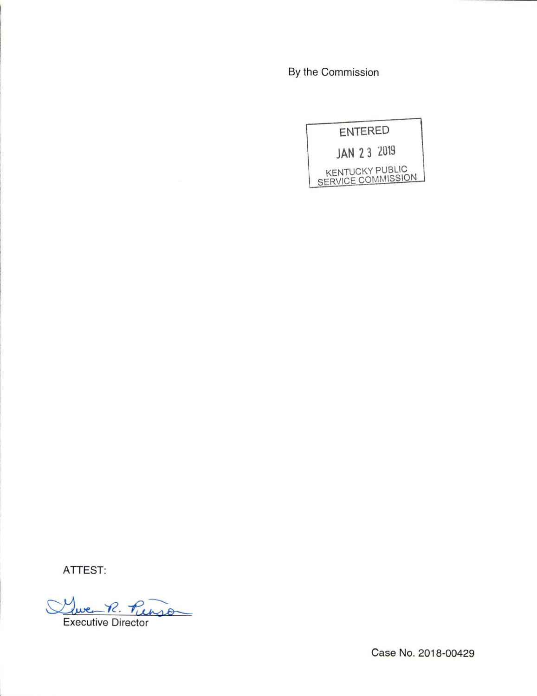By the Commission



ATTEST:

R. Purson Executive Director

Case No. 2018-00429